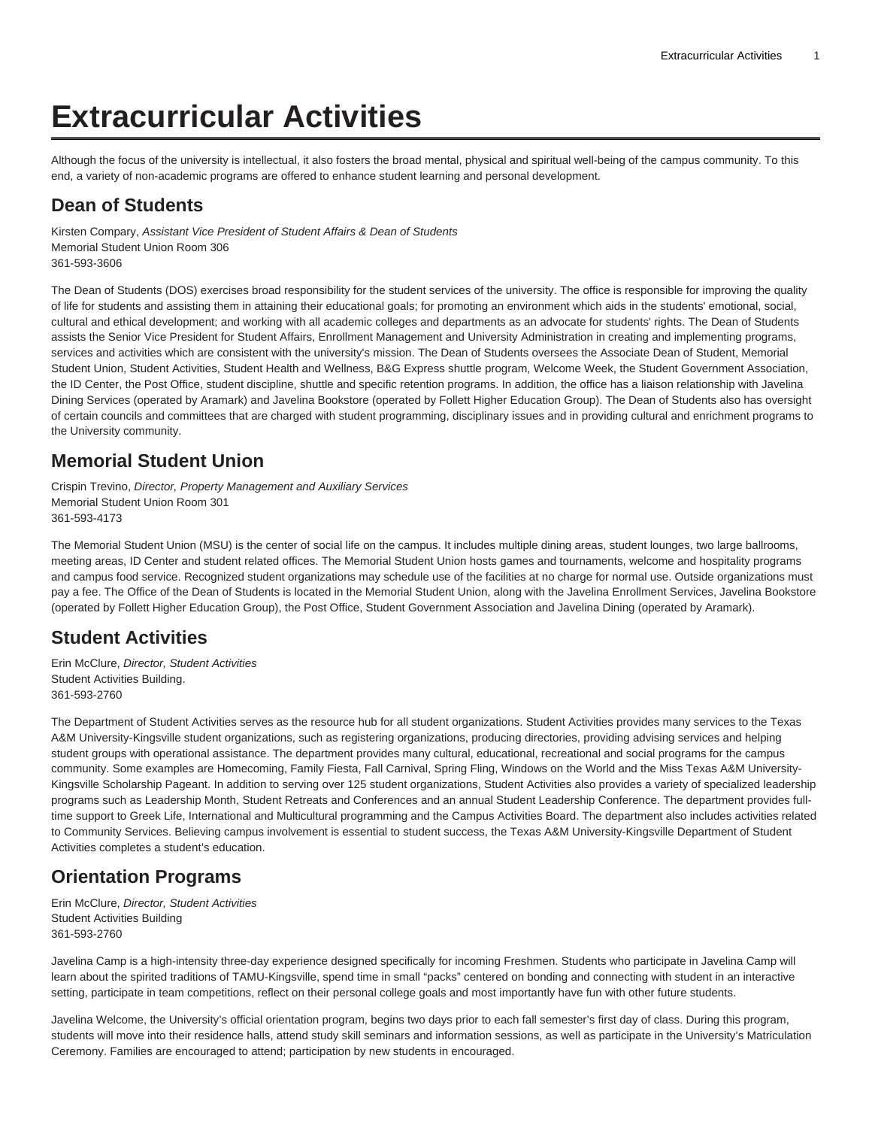# **Extracurricular Activities**

Although the focus of the university is intellectual, it also fosters the broad mental, physical and spiritual well-being of the campus community. To this end, a variety of non-academic programs are offered to enhance student learning and personal development.

#### **Dean of Students**

Kirsten Compary, Assistant Vice President of Student Affairs & Dean of Students Memorial Student Union Room 306 361-593-3606

The Dean of Students (DOS) exercises broad responsibility for the student services of the university. The office is responsible for improving the quality of life for students and assisting them in attaining their educational goals; for promoting an environment which aids in the students' emotional, social, cultural and ethical development; and working with all academic colleges and departments as an advocate for students' rights. The Dean of Students assists the Senior Vice President for Student Affairs, Enrollment Management and University Administration in creating and implementing programs, services and activities which are consistent with the university's mission. The Dean of Students oversees the Associate Dean of Student, Memorial Student Union, Student Activities, Student Health and Wellness, B&G Express shuttle program, Welcome Week, the Student Government Association, the ID Center, the Post Office, student discipline, shuttle and specific retention programs. In addition, the office has a liaison relationship with Javelina Dining Services (operated by Aramark) and Javelina Bookstore (operated by Follett Higher Education Group). The Dean of Students also has oversight of certain councils and committees that are charged with student programming, disciplinary issues and in providing cultural and enrichment programs to the University community.

# **Memorial Student Union**

Crispin Trevino, Director, Property Management and Auxiliary Services Memorial Student Union Room 301 361-593-4173

The Memorial Student Union (MSU) is the center of social life on the campus. It includes multiple dining areas, student lounges, two large ballrooms, meeting areas, ID Center and student related offices. The Memorial Student Union hosts games and tournaments, welcome and hospitality programs and campus food service. Recognized student organizations may schedule use of the facilities at no charge for normal use. Outside organizations must pay a fee. The Office of the Dean of Students is located in the Memorial Student Union, along with the Javelina Enrollment Services, Javelina Bookstore (operated by Follett Higher Education Group), the Post Office, Student Government Association and Javelina Dining (operated by Aramark).

# **Student Activities**

Erin McClure, Director, Student Activities Student Activities Building. 361-593-2760

The Department of Student Activities serves as the resource hub for all student organizations. Student Activities provides many services to the Texas A&M University-Kingsville student organizations, such as registering organizations, producing directories, providing advising services and helping student groups with operational assistance. The department provides many cultural, educational, recreational and social programs for the campus community. Some examples are Homecoming, Family Fiesta, Fall Carnival, Spring Fling, Windows on the World and the Miss Texas A&M University-Kingsville Scholarship Pageant. In addition to serving over 125 student organizations, Student Activities also provides a variety of specialized leadership programs such as Leadership Month, Student Retreats and Conferences and an annual Student Leadership Conference. The department provides fulltime support to Greek Life, International and Multicultural programming and the Campus Activities Board. The department also includes activities related to Community Services. Believing campus involvement is essential to student success, the Texas A&M University-Kingsville Department of Student Activities completes a student's education.

# **Orientation Programs**

Erin McClure, Director, Student Activities Student Activities Building 361-593-2760

Javelina Camp is a high-intensity three-day experience designed specifically for incoming Freshmen. Students who participate in Javelina Camp will learn about the spirited traditions of TAMU-Kingsville, spend time in small "packs" centered on bonding and connecting with student in an interactive setting, participate in team competitions, reflect on their personal college goals and most importantly have fun with other future students.

Javelina Welcome, the University's official orientation program, begins two days prior to each fall semester's first day of class. During this program, students will move into their residence halls, attend study skill seminars and information sessions, as well as participate in the University's Matriculation Ceremony. Families are encouraged to attend; participation by new students in encouraged.